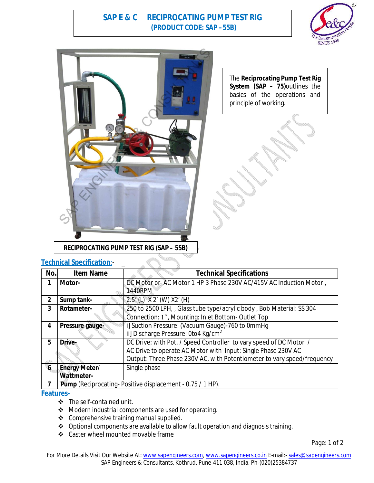# **SAP E & C RECIPROCATING PUMP TEST RIG (PRODUCT CODE: SAP –55B)**





The **Reciprocating Pump Test Rig System (SAP – 75)**outlines the basics of the operations and principle of working.

### **Technical Specification**:-

| No.                 | <b>Item Name</b>     | <b>Technical Specifications</b>                                         |
|---------------------|----------------------|-------------------------------------------------------------------------|
|                     | Motor-               | DC Motor or AC Motor 1 HP 3 Phase 230V AC/415V AC Induction Motor,      |
|                     |                      | 1440RPM                                                                 |
| $\overline{2}$      | Sump tank-           | $2.5'$ (L) $X$ 2' (W) $X2'$ (H)                                         |
| 3                   | Rotameter-           | 250 to 2500 LPH, , Glass tube type/acrylic body, Bob Material: SS 304   |
|                     |                      | Connection: 1", Mounting: Inlet Bottom- Outlet Top                      |
| 4                   | Pressure gauge-      | i] Suction Pressure: (Vacuum Gauge)-760 to 0mmHg                        |
|                     |                      | ii] Discharge Pressure: 0to4 Kg/cm <sup>2</sup>                         |
| 5                   | Drive-               | DC Drive: with Pot. / Speed Controller to vary speed of DC Motor /      |
|                     |                      | AC Drive to operate AC Motor with Input: Single Phase 230V AC           |
|                     |                      | Output: Three Phase 230V AC, with Potentiometer to vary speed/frequency |
| $\ddot{\mathbf{6}}$ | <b>Energy Meter/</b> | Single phase                                                            |
|                     | <b>Wattmeter-</b>    |                                                                         |
| 7                   |                      | <b>Pump</b> (Reciprocating-Positive displacement - 0.75 / 1 HP).        |

### **Features-**

- The self-contained unit.
- ◆ Modern industrial components are used for operating.
- ❖ Comprehensive training manual supplied.
- Optional components are available to allow fault operation and diagnosis training.
- ❖ Caster wheel mounted movable frame

Page: 1 of 2